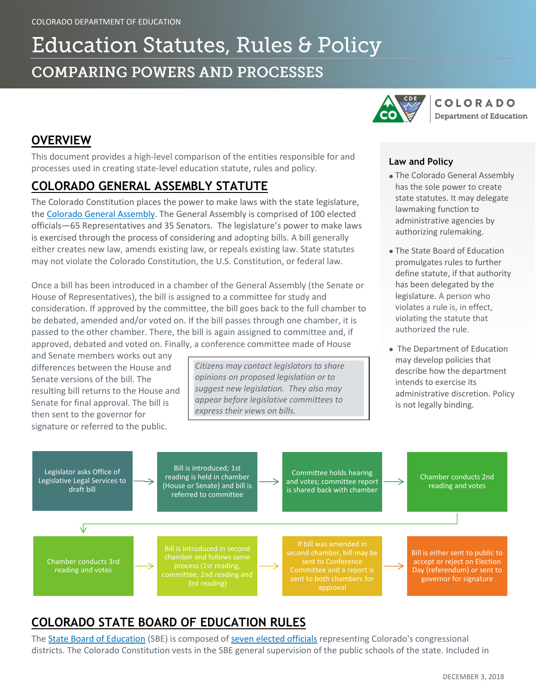# **Education Statutes, Rules & Policy COMPARING POWERS AND PROCESSES**



## **OVERVIEW**

This document provides a high-level comparison of the entities responsible for and processes used in creating state-level education statute, rules and policy.

### **COLORADO GENERAL ASSEMBLY STATUTE**

The Colorado Constitution places the power to make laws with the state legislature, the [Colorado General Assembly.](https://leg.colorado.gov/) The General Assembly is comprised of 100 elected officials—65 Representatives and 35 Senators. The legislature's power to make laws is exercised through the process of considering and adopting bills. A bill generally either creates new law, amends existing law, or repeals existing law. State statutes may not violate the Colorado Constitution, the U.S. Constitution, or federal law.

Once a bill has been introduced in a chamber of the General Assembly (the Senate or House of Representatives), the bill is assigned to a committee for study and consideration. If approved by the committee, the bill goes back to the full chamber to be debated, amended and/or voted on. If the bill passes through one chamber, it is passed to the other chamber. There, the bill is again assigned to committee and, if approved, debated and voted on. Finally, a conference committee made of House

and Senate members works out any differences between the House and Senate versions of the bill. The resulting bill returns to the House and Senate for final approval. The bill is then sent to the governor for signature or referred to the public.

*Citizens may contact legislators to share opinions on proposed legislation or to suggest new legislation. They also may appear before legislative committees to express their views on bills.*

#### **Law and Policy**

- The Colorado General Assembly has the sole power to create state statutes. It may delegate lawmaking function to administrative agencies by authorizing rulemaking.
- The State Board of Education promulgates rules to further define statute, if that authority has been delegated by the legislature. A person who violates a rule is, in effect, violating the statute that authorized the rule.
- The Department of Education may develop policies that describe how the department intends to exercise its administrative discretion. Policy is not legally binding.



# **COLORADO STATE BOARD OF EDUCATION RULES**

The [State Board of Education](https://www.cde.state.co.us/cdeboard) (SBE) is composed of [seven elected officials](https://www.cde.state.co.us/cdeboard/board_member_profiles) representing Colorado's congressional districts. The Colorado Constitution vests in the SBE general supervision of the public schools of the state. Included in